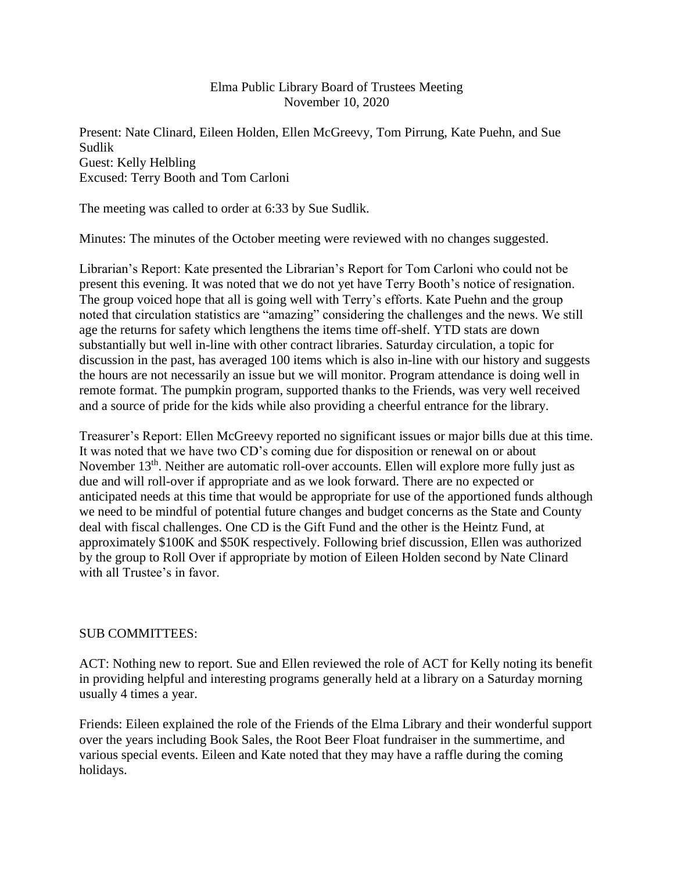## Elma Public Library Board of Trustees Meeting November 10, 2020

Present: Nate Clinard, Eileen Holden, Ellen McGreevy, Tom Pirrung, Kate Puehn, and Sue Sudlik Guest: Kelly Helbling Excused: Terry Booth and Tom Carloni

The meeting was called to order at 6:33 by Sue Sudlik.

Minutes: The minutes of the October meeting were reviewed with no changes suggested.

Librarian's Report: Kate presented the Librarian's Report for Tom Carloni who could not be present this evening. It was noted that we do not yet have Terry Booth's notice of resignation. The group voiced hope that all is going well with Terry's efforts. Kate Puehn and the group noted that circulation statistics are "amazing" considering the challenges and the news. We still age the returns for safety which lengthens the items time off-shelf. YTD stats are down substantially but well in-line with other contract libraries. Saturday circulation, a topic for discussion in the past, has averaged 100 items which is also in-line with our history and suggests the hours are not necessarily an issue but we will monitor. Program attendance is doing well in remote format. The pumpkin program, supported thanks to the Friends, was very well received and a source of pride for the kids while also providing a cheerful entrance for the library.

Treasurer's Report: Ellen McGreevy reported no significant issues or major bills due at this time. It was noted that we have two CD's coming due for disposition or renewal on or about November 13<sup>th</sup>. Neither are automatic roll-over accounts. Ellen will explore more fully just as due and will roll-over if appropriate and as we look forward. There are no expected or anticipated needs at this time that would be appropriate for use of the apportioned funds although we need to be mindful of potential future changes and budget concerns as the State and County deal with fiscal challenges. One CD is the Gift Fund and the other is the Heintz Fund, at approximately \$100K and \$50K respectively. Following brief discussion, Ellen was authorized by the group to Roll Over if appropriate by motion of Eileen Holden second by Nate Clinard with all Trustee's in favor.

## SUB COMMITTEES:

ACT: Nothing new to report. Sue and Ellen reviewed the role of ACT for Kelly noting its benefit in providing helpful and interesting programs generally held at a library on a Saturday morning usually 4 times a year.

Friends: Eileen explained the role of the Friends of the Elma Library and their wonderful support over the years including Book Sales, the Root Beer Float fundraiser in the summertime, and various special events. Eileen and Kate noted that they may have a raffle during the coming holidays.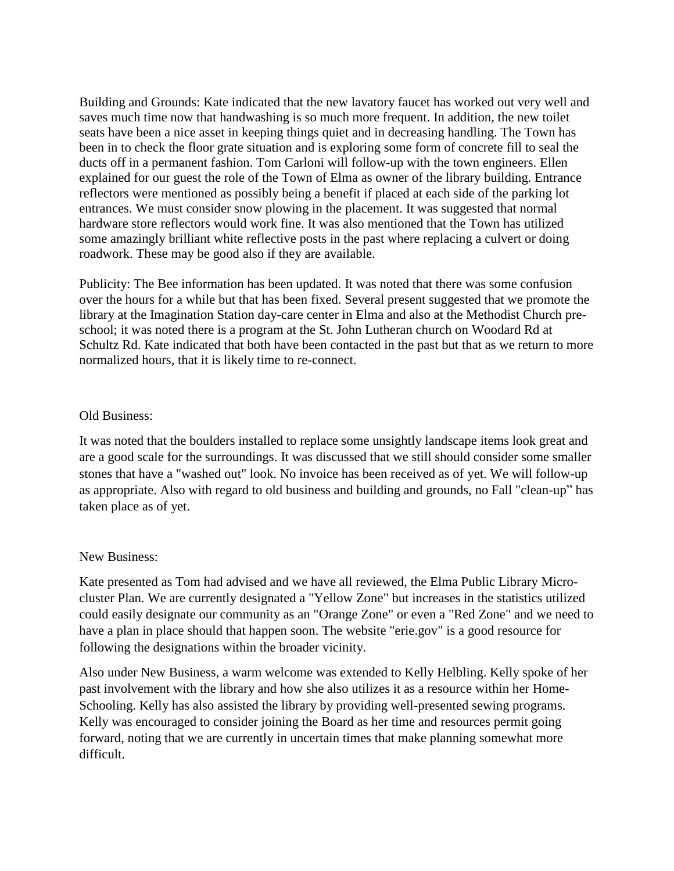Building and Grounds: Kate indicated that the new lavatory faucet has worked out very well and saves much time now that handwashing is so much more frequent. In addition, the new toilet seats have been a nice asset in keeping things quiet and in decreasing handling. The Town has been in to check the floor grate situation and is exploring some form of concrete fill to seal the ducts off in a permanent fashion. Tom Carloni will follow-up with the town engineers. Ellen explained for our guest the role of the Town of Elma as owner of the library building. Entrance reflectors were mentioned as possibly being a benefit if placed at each side of the parking lot entrances. We must consider snow plowing in the placement. It was suggested that normal hardware store reflectors would work fine. It was also mentioned that the Town has utilized some amazingly brilliant white reflective posts in the past where replacing a culvert or doing roadwork. These may be good also if they are available.

Publicity: The Bee information has been updated. It was noted that there was some confusion over the hours for a while but that has been fixed. Several present suggested that we promote the library at the Imagination Station day-care center in Elma and also at the Methodist Church preschool; it was noted there is a program at the St. John Lutheran church on Woodard Rd at Schultz Rd. Kate indicated that both have been contacted in the past but that as we return to more normalized hours, that it is likely time to re-connect.

## Old Business:

It was noted that the boulders installed to replace some unsightly landscape items look great and are a good scale for the surroundings. It was discussed that we still should consider some smaller stones that have a "washed out" look. No invoice has been received as of yet. We will follow-up as appropriate. Also with regard to old business and building and grounds, no Fall "clean-up" has taken place as of yet.

## New Business:

Kate presented as Tom had advised and we have all reviewed, the Elma Public Library Microcluster Plan. We are currently designated a "Yellow Zone" but increases in the statistics utilized could easily designate our community as an "Orange Zone" or even a "Red Zone" and we need to have a plan in place should that happen soon. The website "erie.gov" is a good resource for following the designations within the broader vicinity.

Also under New Business, a warm welcome was extended to Kelly Helbling. Kelly spoke of her past involvement with the library and how she also utilizes it as a resource within her Home-Schooling. Kelly has also assisted the library by providing well-presented sewing programs. Kelly was encouraged to consider joining the Board as her time and resources permit going forward, noting that we are currently in uncertain times that make planning somewhat more difficult.